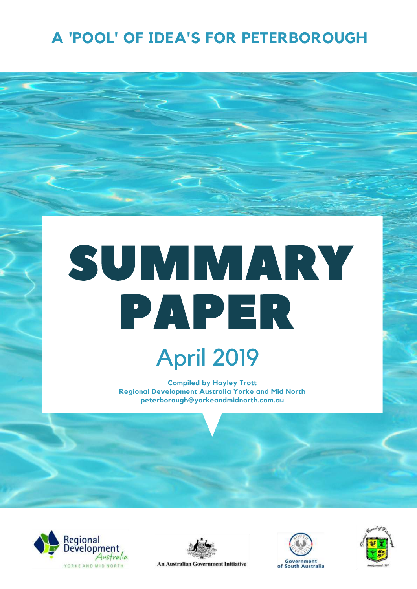## **A 'POOL' OF IDEA'S FOR PETERBOROUGH**

# SUMMARY PAPER

April 2019

**Compiled by Hayley Trott Regional Development Australia Yorke and Mid North peterborough@yorkeandmidnorth.com.au**





An Australian Government Initiative



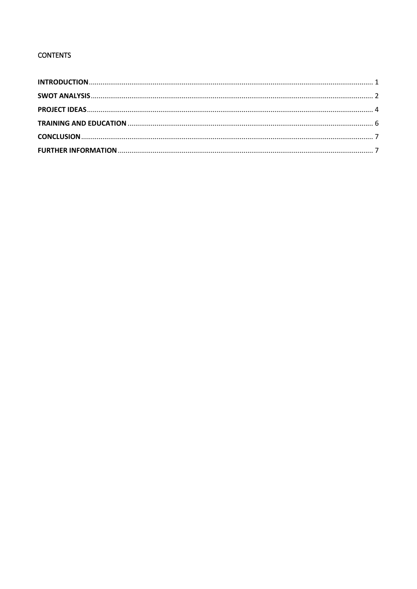### **CONTENTS**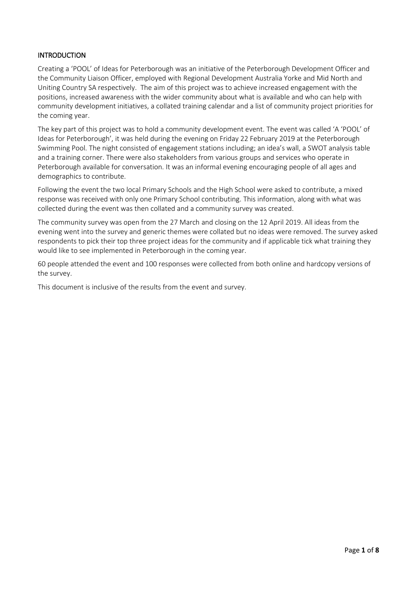#### <span id="page-2-0"></span>**INTRODUCTION**

Creating a 'POOL' of Ideas for Peterborough was an initiative of the Peterborough Development Officer and the Community Liaison Officer, employed with Regional Development Australia Yorke and Mid North and Uniting Country SA respectively. The aim of this project was to achieve increased engagement with the positions, increased awareness with the wider community about what is available and who can help with community development initiatives, a collated training calendar and a list of community project priorities for the coming year.

The key part of this project was to hold a community development event. The event was called 'A 'POOL' of Ideas for Peterborough', it was held during the evening on Friday 22 February 2019 at the Peterborough Swimming Pool. The night consisted of engagement stations including; an idea's wall, a SWOT analysis table and a training corner. There were also stakeholders from various groups and services who operate in Peterborough available for conversation. It was an informal evening encouraging people of all ages and demographics to contribute.

Following the event the two local Primary Schools and the High School were asked to contribute, a mixed response was received with only one Primary School contributing. This information, along with what was collected during the event was then collated and a community survey was created.

The community survey was open from the 27 March and closing on the 12 April 2019. All ideas from the evening went into the survey and generic themes were collated but no ideas were removed. The survey asked respondents to pick their top three project ideas for the community and if applicable tick what training they would like to see implemented in Peterborough in the coming year.

60 people attended the event and 100 responses were collected from both online and hardcopy versions of the survey.

This document is inclusive of the results from the event and survey.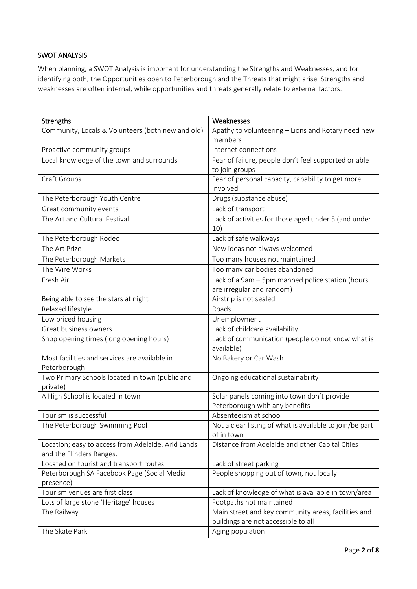#### <span id="page-3-0"></span>SWOT ANALYSIS

When planning, a SWOT Analysis is important for understanding the Strengths and Weaknesses, and for identifying both, the Opportunities open to Peterborough and the Threats that might arise. Strengths and weaknesses are often internal, while opportunities and threats generally relate to external factors.

| Strengths                                                                      | Weaknesses                                                             |
|--------------------------------------------------------------------------------|------------------------------------------------------------------------|
| Community, Locals & Volunteers (both new and old)                              | Apathy to volunteering - Lions and Rotary need new                     |
|                                                                                | members                                                                |
| Proactive community groups                                                     | Internet connections                                                   |
| Local knowledge of the town and surrounds                                      | Fear of failure, people don't feel supported or able                   |
|                                                                                | to join groups                                                         |
| Craft Groups                                                                   | Fear of personal capacity, capability to get more                      |
|                                                                                | involved                                                               |
| The Peterborough Youth Centre                                                  | Drugs (substance abuse)                                                |
| Great community events                                                         | Lack of transport                                                      |
| The Art and Cultural Festival                                                  | Lack of activities for those aged under 5 (and under                   |
|                                                                                | 10)                                                                    |
| The Peterborough Rodeo                                                         | Lack of safe walkways                                                  |
| The Art Prize                                                                  | New ideas not always welcomed                                          |
| The Peterborough Markets                                                       | Too many houses not maintained                                         |
| The Wire Works                                                                 | Too many car bodies abandoned                                          |
| Fresh Air                                                                      | Lack of a 9am - 5pm manned police station (hours                       |
|                                                                                | are irregular and random)                                              |
| Being able to see the stars at night                                           | Airstrip is not sealed                                                 |
| Relaxed lifestyle                                                              | Roads                                                                  |
| Low priced housing                                                             | Unemployment                                                           |
| Great business owners                                                          | Lack of childcare availability                                         |
| Shop opening times (long opening hours)                                        | Lack of communication (people do not know what is                      |
|                                                                                | available)                                                             |
| Most facilities and services are available in                                  | No Bakery or Car Wash                                                  |
| Peterborough                                                                   |                                                                        |
| Two Primary Schools located in town (public and                                | Ongoing educational sustainability                                     |
| private)                                                                       |                                                                        |
| A High School is located in town                                               | Solar panels coming into town don't provide                            |
|                                                                                | Peterborough with any benefits                                         |
| Tourism is successful                                                          | Absenteeism at school                                                  |
| The Peterborough Swimming Pool                                                 | Not a clear listing of what is available to join/be part<br>of in town |
|                                                                                |                                                                        |
| Location; easy to access from Adelaide, Arid Lands<br>and the Flinders Ranges. | Distance from Adelaide and other Capital Cities                        |
| Located on tourist and transport routes                                        | Lack of street parking                                                 |
| Peterborough SA Facebook Page (Social Media                                    | People shopping out of town, not locally                               |
| presence)                                                                      |                                                                        |
| Tourism venues are first class                                                 | Lack of knowledge of what is available in town/area                    |
| Lots of large stone 'Heritage' houses                                          | Footpaths not maintained                                               |
| The Railway                                                                    | Main street and key community areas, facilities and                    |
|                                                                                | buildings are not accessible to all                                    |
| The Skate Park                                                                 | Aging population                                                       |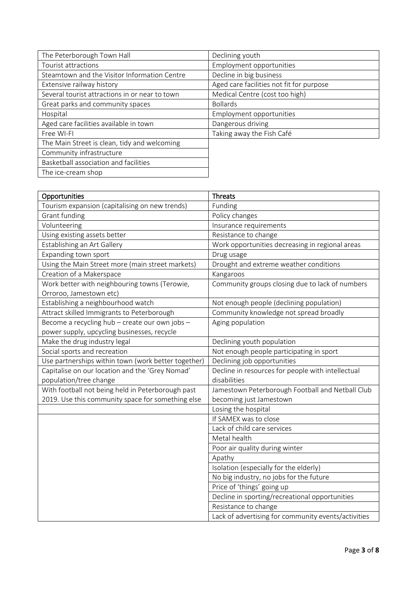| The Peterborough Town Hall                     | Declining youth                          |
|------------------------------------------------|------------------------------------------|
| Tourist attractions                            | Employment opportunities                 |
| Steamtown and the Visitor Information Centre   | Decline in big business                  |
| Extensive railway history                      | Aged care facilities not fit for purpose |
| Several tourist attractions in or near to town | Medical Centre (cost too high)           |
| Great parks and community spaces               | <b>Bollards</b>                          |
| Hospital                                       | Employment opportunities                 |
| Aged care facilities available in town         | Dangerous driving                        |
| Free WI-FI                                     | Taking away the Fish Café                |
| The Main Street is clean, tidy and welcoming   |                                          |
| Community infrastructure                       |                                          |
| Basketball association and facilities          |                                          |
| The ice-cream shop                             |                                          |

| Opportunities                                       | <b>Threats</b>                                      |
|-----------------------------------------------------|-----------------------------------------------------|
| Tourism expansion (capitalising on new trends)      | Funding                                             |
| Grant funding                                       | Policy changes                                      |
| Volunteering                                        | Insurance requirements                              |
| Using existing assets better                        | Resistance to change                                |
| Establishing an Art Gallery                         | Work opportunities decreasing in regional areas     |
| Expanding town sport                                | Drug usage                                          |
| Using the Main Street more (main street markets)    | Drought and extreme weather conditions              |
| Creation of a Makerspace                            | Kangaroos                                           |
| Work better with neighbouring towns (Terowie,       | Community groups closing due to lack of numbers     |
| Orroroo, Jamestown etc)                             |                                                     |
| Establishing a neighbourhood watch                  | Not enough people (declining population)            |
| Attract skilled Immigrants to Peterborough          | Community knowledge not spread broadly              |
| Become a recycling hub - create our own jobs -      | Aging population                                    |
| power supply, upcycling businesses, recycle         |                                                     |
| Make the drug industry legal                        | Declining youth population                          |
| Social sports and recreation                        | Not enough people participating in sport            |
| Use partnerships within town (work better together) | Declining job opportunities                         |
| Capitalise on our location and the 'Grey Nomad'     | Decline in resources for people with intellectual   |
| population/tree change                              | disabilities                                        |
| With football not being held in Peterborough past   | Jamestown Peterborough Football and Netball Club    |
| 2019. Use this community space for something else   | becoming just Jamestown                             |
|                                                     | Losing the hospital                                 |
|                                                     | If SAMEX was to close                               |
|                                                     | Lack of child care services                         |
|                                                     | Metal health                                        |
|                                                     | Poor air quality during winter                      |
|                                                     | Apathy                                              |
|                                                     | Isolation (especially for the elderly)              |
|                                                     | No big industry, no jobs for the future             |
|                                                     | Price of 'things' going up                          |
|                                                     | Decline in sporting/recreational opportunities      |
|                                                     | Resistance to change                                |
|                                                     | Lack of advertising for community events/activities |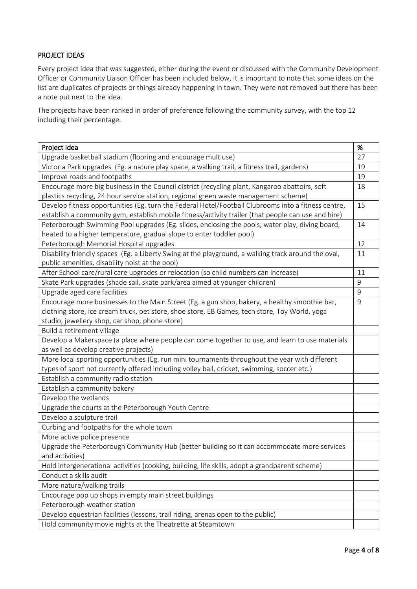#### <span id="page-5-0"></span>PROJECT IDEAS

Every project idea that was suggested, either during the event or discussed with the Community Development Officer or Community Liaison Officer has been included below, it is important to note that some ideas on the list are duplicates of projects or things already happening in town. They were not removed but there has been a note put next to the idea.

The projects have been ranked in order of preference following the community survey, with the top 12 including their percentage.

| Project Idea                                                                                        | %           |
|-----------------------------------------------------------------------------------------------------|-------------|
| Upgrade basketball stadium (flooring and encourage multiuse)                                        | 27          |
| Victoria Park upgrades (Eg. a nature play space, a walking trail, a fitness trail, gardens)         | 19          |
| Improve roads and footpaths                                                                         | 19          |
| Encourage more big business in the Council district (recycling plant, Kangaroo abattoirs, soft      | 18          |
| plastics recycling, 24 hour service station, regional green waste management scheme)                |             |
| Develop fitness opportunities (Eg. turn the Federal Hotel/Football Clubrooms into a fitness centre, | 15          |
| establish a community gym, establish mobile fitness/activity trailer (that people can use and hire) |             |
| Peterborough Swimming Pool upgrades (Eg. slides, enclosing the pools, water play, diving board,     | 14          |
| heated to a higher temperature, gradual slope to enter toddler pool)                                |             |
| Peterborough Memorial Hospital upgrades                                                             | 12          |
| Disability friendly spaces (Eg. a Liberty Swing at the playground, a walking track around the oval, | 11          |
| public amenities, disability hoist at the pool)                                                     |             |
| After School care/rural care upgrades or relocation (so child numbers can increase)                 | 11          |
| Skate Park upgrades (shade sail, skate park/area aimed at younger children)                         | 9           |
| Upgrade aged care facilities                                                                        | $\mathsf 9$ |
| Encourage more businesses to the Main Street (Eg. a gun shop, bakery, a healthy smoothie bar,       | 9           |
| clothing store, ice cream truck, pet store, shoe store, EB Games, tech store, Toy World, yoga       |             |
| studio, jewellery shop, car shop, phone store)                                                      |             |
| Build a retirement village                                                                          |             |
| Develop a Makerspace (a place where people can come together to use, and learn to use materials     |             |
| as well as develop creative projects)                                                               |             |
| More local sporting opportunities (Eg. run mini tournaments throughout the year with different      |             |
| types of sport not currently offered including volley ball, cricket, swimming, soccer etc.)         |             |
| Establish a community radio station                                                                 |             |
| Establish a community bakery                                                                        |             |
| Develop the wetlands                                                                                |             |
| Upgrade the courts at the Peterborough Youth Centre                                                 |             |
| Develop a sculpture trail                                                                           |             |
| Curbing and footpaths for the whole town                                                            |             |
| More active police presence                                                                         |             |
| Upgrade the Peterborough Community Hub (better building so it can accommodate more services         |             |
| and activities)                                                                                     |             |
| Hold intergenerational activities (cooking, building, life skills, adopt a grandparent scheme)      |             |
| Conduct a skills audit                                                                              |             |
| More nature/walking trails                                                                          |             |
| Encourage pop up shops in empty main street buildings                                               |             |
| Peterborough weather station                                                                        |             |
| Develop equestrian facilities (lessons, trail riding, arenas open to the public)                    |             |
| Hold community movie nights at the Theatrette at Steamtown                                          |             |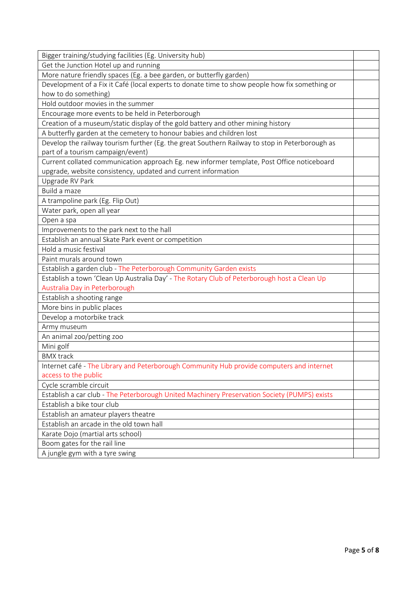| Bigger training/studying facilities (Eg. University hub)                                       |  |
|------------------------------------------------------------------------------------------------|--|
| Get the Junction Hotel up and running                                                          |  |
| More nature friendly spaces (Eg. a bee garden, or butterfly garden)                            |  |
| Development of a Fix it Café (local experts to donate time to show people how fix something or |  |
| how to do something)                                                                           |  |
| Hold outdoor movies in the summer                                                              |  |
| Encourage more events to be held in Peterborough                                               |  |
| Creation of a museum/static display of the gold battery and other mining history               |  |
| A butterfly garden at the cemetery to honour babies and children lost                          |  |
| Develop the railway tourism further (Eg. the great Southern Railway to stop in Peterborough as |  |
| part of a tourism campaign/event)                                                              |  |
| Current collated communication approach Eg. new informer template, Post Office noticeboard     |  |
| upgrade, website consistency, updated and current information                                  |  |
| Upgrade RV Park                                                                                |  |
| Build a maze                                                                                   |  |
| A trampoline park (Eg. Flip Out)                                                               |  |
| Water park, open all year                                                                      |  |
| Open a spa                                                                                     |  |
| Improvements to the park next to the hall                                                      |  |
| Establish an annual Skate Park event or competition                                            |  |
| Hold a music festival                                                                          |  |
| Paint murals around town                                                                       |  |
| Establish a garden club - The Peterborough Community Garden exists                             |  |
| Establish a town 'Clean Up Australia Day' - The Rotary Club of Peterborough host a Clean Up    |  |
| Australia Day in Peterborough                                                                  |  |
| Establish a shooting range                                                                     |  |
| More bins in public places                                                                     |  |
| Develop a motorbike track                                                                      |  |
| Army museum                                                                                    |  |
| An animal zoo/petting zoo                                                                      |  |
| Mini golf                                                                                      |  |
| <b>BMX</b> track                                                                               |  |
| Internet café - The Library and Peterborough Community Hub provide computers and internet      |  |
| access to the public                                                                           |  |
| Cycle scramble circuit                                                                         |  |
| Establish a car club - The Peterborough United Machinery Preservation Society (PUMPS) exists   |  |
| Establish a bike tour club                                                                     |  |
| Establish an amateur players theatre                                                           |  |
| Establish an arcade in the old town hall                                                       |  |
| Karate Dojo (martial arts school)                                                              |  |
| Boom gates for the rail line                                                                   |  |
| A jungle gym with a tyre swing                                                                 |  |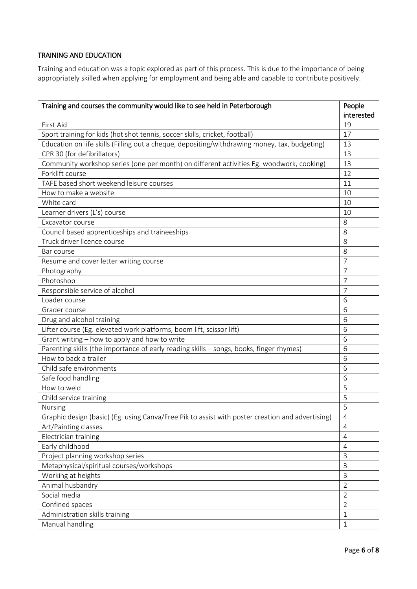#### <span id="page-7-0"></span>TRAINING AND EDUCATION

Training and education was a topic explored as part of this process. This is due to the importance of being appropriately skilled when applying for employment and being able and capable to contribute positively.

| Training and courses the community would like to see held in Peterborough                        | People         |
|--------------------------------------------------------------------------------------------------|----------------|
|                                                                                                  | interested     |
| First Aid                                                                                        | 19             |
| Sport training for kids (hot shot tennis, soccer skills, cricket, football)                      | 17             |
| Education on life skills (Filling out a cheque, depositing/withdrawing money, tax, budgeting)    | 13             |
| CPR 30 (for defibrillators)                                                                      | 13             |
| Community workshop series (one per month) on different activities Eg. woodwork, cooking)         | 13             |
| Forklift course                                                                                  | 12             |
| TAFE based short weekend leisure courses                                                         | 11             |
| How to make a website                                                                            | 10             |
| White card                                                                                       | 10             |
| Learner drivers (L's) course                                                                     | 10             |
| Excavator course                                                                                 | 8              |
| Council based apprenticeships and traineeships                                                   | 8              |
| Truck driver licence course                                                                      | 8              |
| Bar course                                                                                       | 8              |
| Resume and cover letter writing course                                                           | 7              |
| Photography                                                                                      | 7              |
| Photoshop                                                                                        | 7              |
| Responsible service of alcohol                                                                   | 7              |
| Loader course                                                                                    | 6              |
| Grader course                                                                                    | 6              |
| Drug and alcohol training                                                                        | 6              |
| Lifter course (Eg. elevated work platforms, boom lift, scissor lift)                             | 6              |
| Grant writing - how to apply and how to write                                                    | 6              |
| Parenting skills (the importance of early reading skills - songs, books, finger rhymes)          | 6              |
| How to back a trailer                                                                            | 6              |
| Child safe environments                                                                          | 6              |
| Safe food handling                                                                               | 6              |
| How to weld                                                                                      | 5              |
| Child service training                                                                           | 5              |
| Nursing                                                                                          | 5              |
| Graphic design (basic) (Eg. using Canva/Free Pik to assist with poster creation and advertising) | $\overline{4}$ |
| Art/Painting classes                                                                             | $\overline{4}$ |
| Electrician training                                                                             | $\overline{4}$ |
| Early childhood                                                                                  | $\overline{4}$ |
| Project planning workshop series                                                                 | 3              |
| Metaphysical/spiritual courses/workshops                                                         | 3              |
| Working at heights                                                                               | 3              |
| Animal husbandry                                                                                 | $\overline{2}$ |
| Social media                                                                                     | $\overline{2}$ |
| Confined spaces                                                                                  | $\overline{2}$ |
| Administration skills training                                                                   | $\mathbf{1}$   |
| Manual handling                                                                                  | 1              |